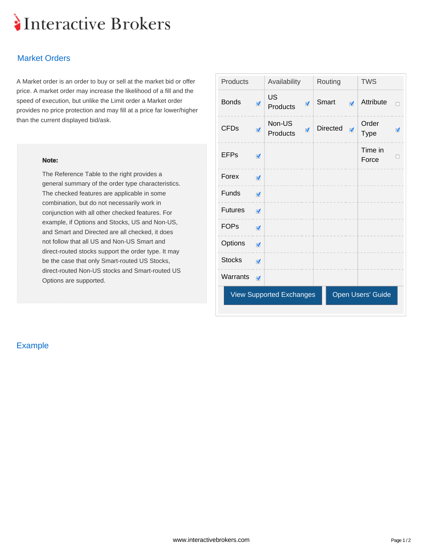# Interactive Brokers

## Market Orders

A Market order is an order to buy or sell at the market bid or offer price. A market order may increase the likelihood of a fill and the speed of execution, but unlike the Limit order a Market order provides no price protection and may fill at a price far lower/higher than the current displayed bid/ask.

#### **Note:**

The Reference Table to the right provides a general summary of the order type characteristics. The checked features are applicable in some combination, but do not necessarily work in conjunction with all other checked features. For example, if Options and Stocks, US and Non-US, and Smart and Directed are all checked, it does not follow that all US and Non-US Smart and direct-routed stocks support the order type. It may be the case that only Smart-routed US Stocks, direct-routed Non-US stocks and Smart-routed US Options are supported.

| Products       |                         | Availability                    |                      | Routing  |                      | <b>TWS</b>           |                      |
|----------------|-------------------------|---------------------------------|----------------------|----------|----------------------|----------------------|----------------------|
| <b>Bonds</b>   | $\overline{\mathbf{v}}$ | <b>US</b><br>Products           | $\blacktriangledown$ | Smart    | $\overrightarrow{v}$ | Attribute            | $\Box$               |
| <b>CFDs</b>    | $\overline{\mathbf{v}}$ | Non-US<br>Products              | $\blacktriangledown$ | Directed | $\sqrt{2}$           | Order<br><b>Type</b> | $\blacktriangledown$ |
| <b>EFPs</b>    | √                       |                                 |                      |          |                      | Time in<br>Force     | □                    |
| Forex          | $\blacktriangledown$    |                                 |                      |          |                      |                      |                      |
| Funds          | $\overline{\mathbf{v}}$ |                                 |                      |          |                      |                      |                      |
| <b>Futures</b> | $\blacktriangledown$    |                                 |                      |          |                      |                      |                      |
| <b>FOPs</b>    | $\overline{\mathbf{v}}$ |                                 |                      |          |                      |                      |                      |
| Options        | $\overline{\mathbf{v}}$ |                                 |                      |          |                      |                      |                      |
| <b>Stocks</b>  | $\blacktriangledown$    |                                 |                      |          |                      |                      |                      |
| Warrants       | $\overrightarrow{v}$    |                                 |                      |          |                      |                      |                      |
|                |                         | <b>View Supported Exchanges</b> |                      |          |                      | Open Users' Guide    |                      |
|                |                         |                                 |                      |          |                      |                      |                      |

### Example